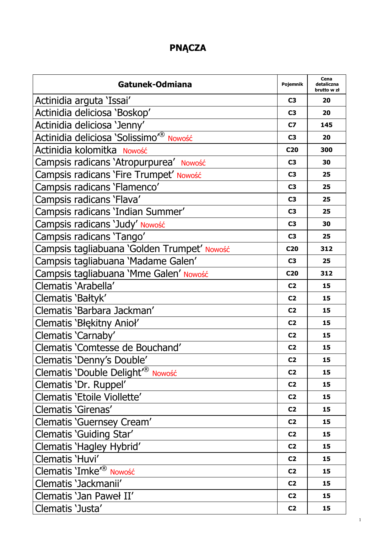## **PNĄCZA**

| Gatunek-Odmiana                                    | Pojemnik        | Cena<br>detaliczna<br>brutto w zł |
|----------------------------------------------------|-----------------|-----------------------------------|
| Actinidia arguta 'Issai'                           | C3              | 20                                |
| Actinidia deliciosa 'Boskop'                       | C3              | 20                                |
| Actinidia deliciosa 'Jenny'                        | C7              | 145                               |
| Actinidia deliciosa Solissimo <sup>r®</sup> Nowość | C <sub>3</sub>  | 20                                |
| Actinidia kolomitka Nowość                         | C <sub>20</sub> | 300                               |
| Campsis radicans 'Atropurpurea' Nowość             | C3              | 30                                |
| Campsis radicans 'Fire Trumpet' Nowość             | C <sub>3</sub>  | 25                                |
| Campsis radicans 'Flamenco'                        | C <sub>3</sub>  | 25                                |
| Campsis radicans 'Flava'                           | C <sub>3</sub>  | 25                                |
| Campsis radicans 'Indian Summer'                   | C <sub>3</sub>  | 25                                |
| Campsis radicans 'Judy' Nowość                     | C <sub>3</sub>  | 30                                |
| Campsis radicans 'Tango'                           | C <sub>3</sub>  | 25                                |
| Campsis tagliabuana 'Golden Trumpet' Nowość        | C <sub>20</sub> | 312                               |
| Campsis tagliabuana 'Madame Galen'                 | C <sub>3</sub>  | 25                                |
| Campsis tagliabuana 'Mme Galen' Nowość             | C <sub>20</sub> | 312                               |
| Clematis 'Arabella'                                | C <sub>2</sub>  | 15                                |
| Clematis 'Bałtyk'                                  | C <sub>2</sub>  | 15                                |
| Clematis 'Barbara Jackman'                         | C <sub>2</sub>  | 15                                |
| Clematis 'Błękitny Anioł'                          | C <sub>2</sub>  | 15                                |
| Clematis 'Carnaby'                                 | C <sub>2</sub>  | 15                                |
| Clematis 'Comtesse de Bouchand'                    | C <sub>2</sub>  | 15                                |
| Clematis 'Denny's Double'                          | C <sub>2</sub>  | 15                                |
| Clematis 'Double Delight <sup>r®</sup> Nowość      | C <sub>2</sub>  | 15                                |
| Clematis 'Dr. Ruppel'                              | C <sub>2</sub>  | 15                                |
| Clematis 'Etoile Viollette'                        | C <sub>2</sub>  | 15                                |
| Clematis 'Girenas'                                 | C <sub>2</sub>  | 15                                |
| Clematis 'Guernsey Cream'                          | C <sub>2</sub>  | 15                                |
| Clematis 'Guiding Star'                            | C <sub>2</sub>  | 15                                |
| Clematis 'Hagley Hybrid'                           | C <sub>2</sub>  | 15                                |
| Clematis 'Huvi'                                    | C <sub>2</sub>  | 15                                |
| Clematis 'Imke <sup>r®</sup> Nowość                | C <sub>2</sub>  | 15                                |
| Clematis 'Jackmanii'                               | C <sub>2</sub>  | 15                                |
| Clematis 'Jan Paweł II'                            | C <sub>2</sub>  | 15                                |
| Clematis 'Justa'                                   | C <sub>2</sub>  | 15                                |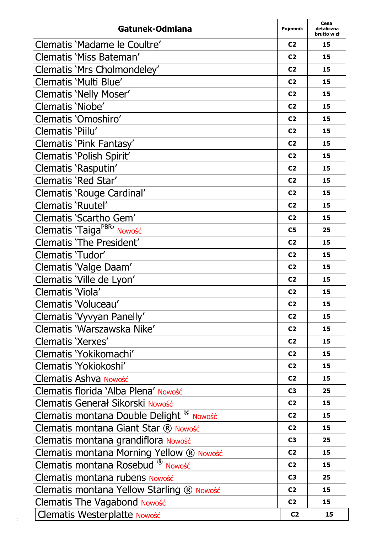| Gatunek-Odmiana                                     | Pojemnik       | Cena<br>detaliczna<br>brutto w zł |
|-----------------------------------------------------|----------------|-----------------------------------|
| Clematis 'Madame le Coultre'                        | C <sub>2</sub> | 15                                |
| Clematis 'Miss Bateman'                             | C <sub>2</sub> | 15                                |
| Clematis 'Mrs Cholmondeley'                         | C <sub>2</sub> | 15                                |
| Clematis 'Multi Blue'                               | C <sub>2</sub> | 15                                |
| Clematis 'Nelly Moser'                              | C <sub>2</sub> | 15                                |
| Clematis 'Niobe'                                    | C <sub>2</sub> | 15                                |
| Clematis 'Omoshiro'                                 | C <sub>2</sub> | 15                                |
| Clematis 'Piilu'                                    | C <sub>2</sub> | 15                                |
| Clematis 'Pink Fantasy'                             | C <sub>2</sub> | 15                                |
| Clematis 'Polish Spirit'                            | C <sub>2</sub> | 15                                |
| Clematis 'Rasputin'                                 | C <sub>2</sub> | 15                                |
| Clematis 'Red Star'                                 | C <sub>2</sub> | 15                                |
| Clematis 'Rouge Cardinal'                           | C <sub>2</sub> | 15                                |
| Clematis 'Ruutel'                                   | C <sub>2</sub> | 15                                |
| Clematis 'Scartho Gem'                              | C <sub>2</sub> | 15                                |
| Clematis 'Taiga <sup>PBR</sup> ' Nowość             | C5             | 25                                |
| Clematis 'The President'                            | C <sub>2</sub> | 15                                |
| Clematis 'Tudor'                                    | C <sub>2</sub> | 15                                |
| Clematis 'Valge Daam'                               | C <sub>2</sub> | 15                                |
| Clematis 'Ville de Lyon'                            | C <sub>2</sub> | 15                                |
| Clematis 'Viola'                                    | C <sub>2</sub> | 15                                |
| Clematis 'Voluceau'                                 | C <sub>2</sub> | 15                                |
| Clematis 'Vyvyan Panelly'                           | C <sub>2</sub> | 15                                |
| Clematis 'Warszawska Nike'                          | C <sub>2</sub> | 15                                |
| Clematis 'Xerxes'                                   | C <sub>2</sub> | 15                                |
| Clematis 'Yokikomachi'                              | C <sub>2</sub> | 15                                |
| Clematis 'Yokiokoshi'                               | C <sub>2</sub> | 15                                |
| Clematis Ashva Nowość                               | C <sub>2</sub> | 15                                |
| Clematis florida 'Alba Plena' Nowość                | C3             | 25                                |
| Clematis Generał Sikorski Nowość                    | C <sub>2</sub> | 15                                |
| Clematis montana Double Delight <sup>®</sup> Nowość | C <sub>2</sub> | 15                                |
| Clematis montana Giant Star ® Nowość                | C <sub>2</sub> | 15                                |
| Clematis montana grandiflora Nowość                 | C3             | 25                                |
| Clematis montana Morning Yellow ® Nowość            | C <sub>2</sub> | 15                                |
| Clematis montana Rosebud <sup>®</sup> Nowość        | C <sub>2</sub> | 15                                |
| Clematis montana rubens Nowość                      | C3             | 25                                |
| Clematis montana Yellow Starling ® Nowość           | C <sub>2</sub> | 15                                |
| <b>Clematis The Vagabond Nowość</b>                 | C <sub>2</sub> | 15                                |
| Clematis Westerplatte Nowość                        | C <sub>2</sub> | 15                                |

 $\overline{\phantom{a}}$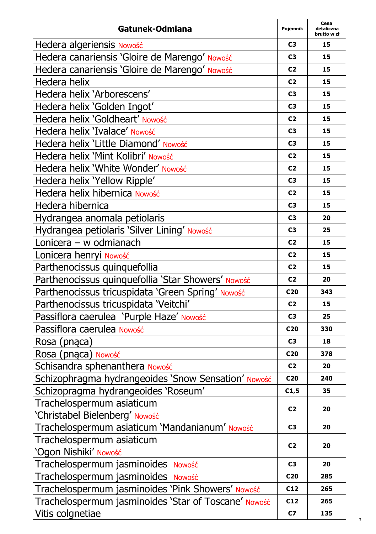| Gatunek-Odmiana                                      | Pojemnik        | Cena<br>detaliczna<br>brutto w zł |
|------------------------------------------------------|-----------------|-----------------------------------|
| Hedera algeriensis Nowość                            | C3              | 15                                |
| Hedera canariensis 'Gloire de Marengo' Nowość        | C3              | 15                                |
| Hedera canariensis 'Gloire de Marengo' Nowość        | C2              | 15                                |
| Hedera helix                                         | C <sub>2</sub>  | 15                                |
| Hedera helix 'Arborescens'                           | C3              | 15                                |
| Hedera helix 'Golden Ingot'                          | C3              | 15                                |
| Hedera helix 'Goldheart' Nowość                      | C2              | 15                                |
| Hedera helix 'Ivalace' Nowość                        | C3              | 15                                |
| Hedera helix 'Little Diamond' Nowość                 | C3              | 15                                |
| Hedera helix 'Mint Kolibri' Nowość                   | C2              | 15                                |
| Hedera helix 'White Wonder' Nowość                   | C2              | 15                                |
| Hedera helix 'Yellow Ripple'                         | C3              | 15                                |
| Hedera helix hibernica Nowość                        | C <sub>2</sub>  | 15                                |
| Hedera hibernica                                     | C3              | 15                                |
| Hydrangea anomala petiolaris                         | C3              | 20                                |
| Hydrangea petiolaris 'Silver Lining' Nowość          | C3              | 25                                |
| Lonicera - w odmianach                               | C2              | 15                                |
| Lonicera henryi Nowość                               | C <sub>2</sub>  | 15                                |
| Parthenocissus quinquefollia                         | C2              | 15                                |
| Parthenocissus quinquefollia 'Star Showers' Nowość   | C2              | 20                                |
| Parthenocissus tricuspidata 'Green Spring' Nowość    | C <sub>20</sub> | 343                               |
| Parthenocissus tricuspidata 'Veitchi'                | C2              | 15                                |
| Passiflora caerulea 'Purple Haze' Nowość             | C3              | 25                                |
| Passiflora caerulea Nowość                           | C <sub>20</sub> | 330                               |
| Rosa (pnąca)                                         | C3              | 18                                |
| Rosa (pnąca) Nowość                                  | C <sub>20</sub> | 378                               |
| Schisandra sphenanthera Nowość                       | C <sub>2</sub>  | 20                                |
| Schizophragma hydrangeoides 'Snow Sensation' Nowość  | C <sub>20</sub> | 240                               |
| Schizopragma hydrangeoides 'Roseum'                  | C1,5            | 35                                |
| Trachelospermum asiaticum                            | C <sub>2</sub>  | 20                                |
| 'Christabel Bielenberg' Nowość                       |                 |                                   |
| Trachelospermum asiaticum 'Mandanianum' Nowość       | C3              | 20                                |
| Trachelospermum asiaticum                            | C2              | 20                                |
| 'Ogon Nishiki' Nowość                                |                 |                                   |
| Trachelospermum jasminoides Nowość                   | C3              | 20                                |
| Trachelospermum jasminoides Nowość                   | C <sub>20</sub> | 285                               |
| Trachelospermum jasminoides 'Pink Showers' Nowość    | C12             | 265                               |
| Trachelospermum jasminoides 'Star of Toscane' Nowość | C12             | 265                               |
| Vitis colgnetiae                                     | C7              | 135                               |